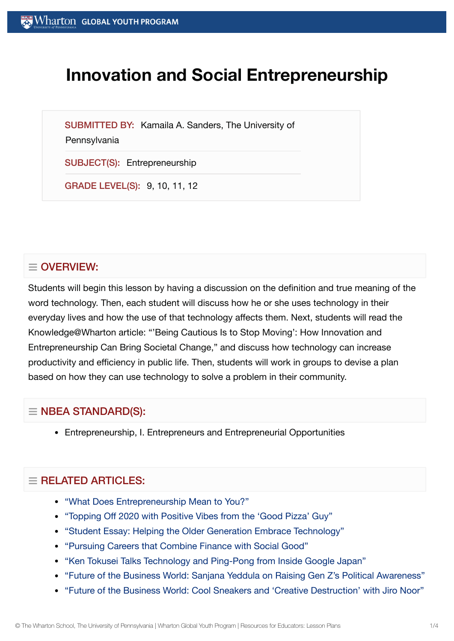# **Innovation and Social Entrepreneurship**

SUBMITTED BY: Kamaila A. Sanders, The University of

**Pennsylvania** 

SUBJECT(S): Entrepreneurship

GRADE LEVEL(S): 9, 10, 11, 12

## $\equiv$  OVERVIEW:

Students will begin this lesson by having a discussion on the definition and true meaning of the word technology. Then, each student will discuss how he or she uses technology in their everyday lives and how the use of that technology affects them. Next, students will read the Knowledge@Wharton article: "'Being Cautious Is to Stop Moving': How Innovation and Entrepreneurship Can Bring Societal Change," and discuss how technology can increase productivity and efficiency in public life. Then, students will work in groups to devise a plan based on how they can use technology to solve a problem in their community.

## $\equiv$  NBEA STANDARD(S):

Entrepreneurship, I. Entrepreneurs and Entrepreneurial Opportunities

## $\equiv$  RELATED ARTICLES:

- "What [Does Entrepreneurship](https://globalyouth.wharton.upenn.edu/articles/entrepreneurship-means-to-you/) Mean to You?"
- "Topping Off 2020 with Positive [Vibes from](https://globalyouth.wharton.upenn.edu/articles/topping-off-2020-positive-vibes-good-pizza-guy/) the 'Good Pizza' Guy"
- "Student Essay: Helping the Older Generation Embrace [Technology"](https://globalyouth.wharton.upenn.edu/articles/helping-older-generation-connect-time-distancing/)
- "Pursuing [Careers that](https://globalyouth.wharton.upenn.edu/articles/pursuing-careers-combine-finance-social-impact/) Combine Finance with Social Good"
- "Ken Tokusei [Talks Technology and](https://globalyouth.wharton.upenn.edu/articles/ken-tokusei-talks-technology-ping-pong-inside-google-japan/) Ping-Pong from Inside Google Japan"
- "Future of the [Business World:](https://globalyouth.wharton.upenn.edu/articles/future-of-the-business-world-raising-gen-z-political-awareness/) Sanjana Yeddula on Raising Gen Z's Political Awareness"
- "Future of the [Business World:](https://globalyouth.wharton.upenn.edu/articles/cool-sneakers-creative-destruction-with-jiro-noor/) Cool Sneakers and 'Creative Destruction' with Jiro Noor"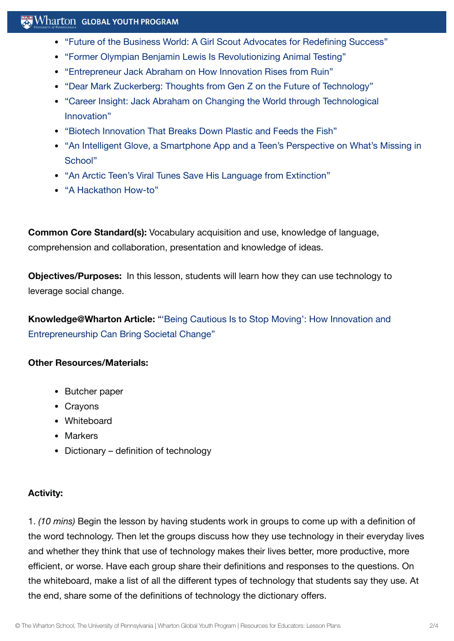### $\mathbb{R}$  Wharton Global Youth Program

- "Future of the [Business World:](https://globalyouth.wharton.upenn.edu/articles/girl-scout-advocates-entrepreneurial-mindset-education-reform/) A Girl Scout Advocates for Redefining Success"
- "Former Olympian Benjamin Lewis Is [Revolutionizing](https://globalyouth.wharton.upenn.edu/articles/former-olympian-benjamin-lewis-revolutionizes-animal-testing/) Animal Testing"
- ["Entrepreneur](https://globalyouth.wharton.upenn.edu/articles/jack-abraham-innovation-rises-ruin/) Jack Abraham on How Innovation Rises from Ruin"
- "Dear Mark Zuckerberg: [Thoughts from](https://globalyouth.wharton.upenn.edu/articles/dear-mark-zuckerberg-heres-gen-zs-perspective-on-the-future-of-technology/) Gen Z on the Future of Technology"
- "Career Insight: Jack Abraham on Changing the World through [Technological](https://globalyouth.wharton.upenn.edu/articles/jack-abraham-on-technological-innovation/) Innovation"
- "Biotech Innovation That [Breaks Down](https://globalyouth.wharton.upenn.edu/articles/biotech-innovation-that-breaks-down-plastic-and-feeds-the-fish/) Plastic and Feeds the Fish"
- "An Intelligent Glove, a Smartphone App and a [Teen's Perspective](https://globalyouth.wharton.upenn.edu/articles/intelligent-glove-smartphone-app-teens-perspective-whats-missing-classroom/) on What's Missing in School"
- "An Arctic Teen's Viral Tunes Save [His Language](https://globalyouth.wharton.upenn.edu/articles/arctic-teen-saves-language-extinction/) from Extinction"
- "A [Hackathon](https://globalyouth.wharton.upenn.edu/articles/a-hackathon-how-to/) How-to"

**Common Core Standard(s):** Vocabulary acquisition and use, knowledge of language, comprehension and collaboration, presentation and knowledge of ideas.

**Objectives/Purposes:** In this lesson, students will learn how they can use technology to leverage social change.

**[Knowledge@Wharton](http://knowledge.wharton.upenn.edu/article.cfm?articleid=2549) Article:** "'Being Cautious Is to Stop Moving': How Innovation and Entrepreneurship Can Bring Societal Change"

#### **Other Resources/Materials:**

- Butcher paper
- Cravons
- Whiteboard
- Markers
- Dictionary definition of technology

#### **Activity:**

1. *(10 mins)* Begin the lesson by having students work in groups to come up with a definition of the word technology. Then let the groups discuss how they use technology in their everyday lives and whether they think that use of technology makes their lives better, more productive, more efficient, or worse. Have each group share their definitions and responses to the questions. On the whiteboard, make a list of all the different types of technology that students say they use. At the end, share some of the definitions of technology the dictionary offers.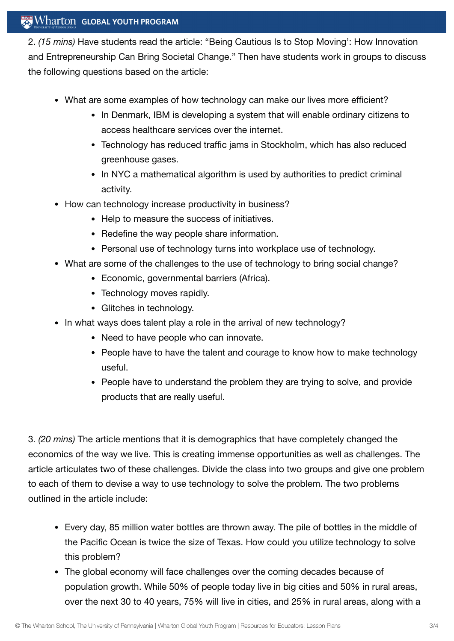### $\mathbb{R}$  Wharton Global Youth Program

2. *(15 mins)* Have students read the article: "Being Cautious Is to Stop Moving': How Innovation and Entrepreneurship Can Bring Societal Change." Then have students work in groups to discuss the following questions based on the article:

- What are some examples of how technology can make our lives more efficient?
	- In Denmark, IBM is developing a system that will enable ordinary citizens to access healthcare services over the internet.
	- Technology has reduced traffic jams in Stockholm, which has also reduced greenhouse gases.
	- In NYC a mathematical algorithm is used by authorities to predict criminal activity.
- How can technology increase productivity in business?
	- Help to measure the success of initiatives.
	- Redefine the way people share information.
	- Personal use of technology turns into workplace use of technology.
- What are some of the challenges to the use of technology to bring social change?
	- Economic, governmental barriers (Africa).
	- Technology moves rapidly.
	- Glitches in technology.
- In what ways does talent play a role in the arrival of new technology?
	- Need to have people who can innovate.
	- People have to have the talent and courage to know how to make technology useful.
	- People have to understand the problem they are trying to solve, and provide products that are really useful.

3. *(20 mins)* The article mentions that it is demographics that have completely changed the economics of the way we live. This is creating immense opportunities as well as challenges. The article articulates two of these challenges. Divide the class into two groups and give one problem to each of them to devise a way to use technology to solve the problem. The two problems outlined in the article include:

- Every day, 85 million water bottles are thrown away. The pile of bottles in the middle of the Pacific Ocean is twice the size of Texas. How could you utilize technology to solve this problem?
- The global economy will face challenges over the coming decades because of population growth. While 50% of people today live in big cities and 50% in rural areas, over the next 30 to 40 years, 75% will live in cities, and 25% in rural areas, along with a